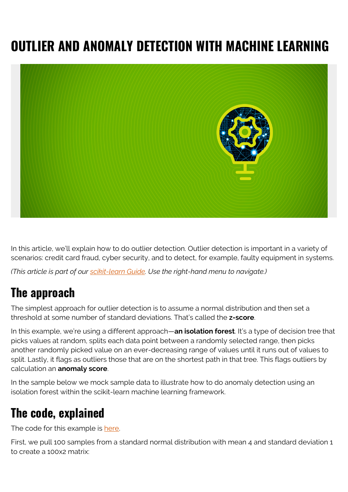## **OUTLIER AND ANOMALY DETECTION WITH MACHINE LEARNING**



In this article, we'll explain how to do outlier detection. Outlier detection is important in a variety of scenarios: credit card fraud, cyber security, and to detect, for example, faulty equipment in systems.

*(This article is part of our [scikit-learn Guide](https://blogs.bmc.com/blogs/scikit-learn/). Use the right-hand menu to navigate.)*

## **The approach**

The simplest approach for outlier detection is to assume a normal distribution and then set a threshold at some number of standard deviations. That's called the **z-score**.

In this example, we're using a different approach—**an isolation forest**. It's a type of decision tree that picks values at random, splits each data point between a randomly selected range, then picks another randomly picked value on an ever-decreasing range of values until it runs out of values to split. Lastly, it flags as outliers those that are on the shortest path in that tree. This flags outliers by calculation an **anomaly score**.

In the sample below we mock sample data to illustrate how to do anomaly detection using an isolation forest within the scikit-learn machine learning framework.

## **The code, explained**

The code for this example is [here.](https://github.com/werowe/sklearn/blob/master/isolation forest.ipynb)

First, we pull 100 samples from a standard normal distribution with mean 4 and standard deviation 1 to create a 100x2 matrix: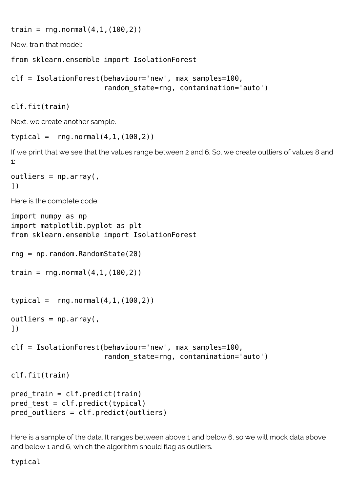train =  $rng.normal(4,1,(100,2))$ 

Now, train that model:

from sklearn.ensemble import IsolationForest

```
clf = IsolationForest(behaviour='new', max_samples=100,
                      random state=rng, contamination='auto')
```
clf.fit(train)

Next, we create another sample.

```
typical = rng.normal(4,1,(100,2))
```
If we print that we see that the values range between 2 and 6. So, we create outliers of values 8 and 1:

 $outliers = np.array($ , ])

Here is the complete code:

```
import numpy as np
import matplotlib.pyplot as plt
from sklearn.ensemble import IsolationForest
rng = np.random.RandomState(20)
train = rng.normal(4,1,(100,2))typical = rng.normal(4,1,(100,2))outliers = np.array(,
])
clf = IsolationForest(behaviour='new', max_samples=100,
                      random state=rng, contamination='auto')
clf.fit(train)
pred train = clf.predict(train)pred test = clf.predict(typical)pred outliers = clf.predict(outliers)
```
Here is a sample of the data. It ranges between above 1 and below 6, so we will mock data above and below 1 and 6, which the algorithm should flag as outliers.

## typical